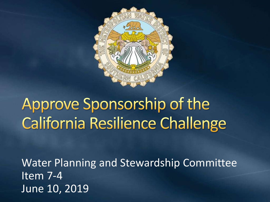

## Approve Sponsorship of the California Resilience Challenge

Water Planning and Stewardship Committee Item 7-4 June 10, 2019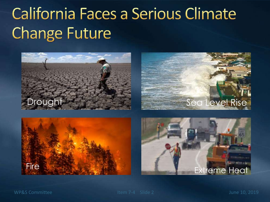## California Faces a Serious Climate **Change Future**









WP&S Committee Item 7-4 Slide 2 June 10, 2019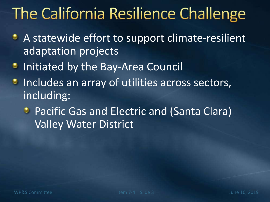## The California Resilience Challenge

- A statewide effort to support climate-resilient adaptation projects
- Initiated by the Bay-Area Council ۰
- Includes an array of utilities across sectors, ٥ including:
	- **Pacific Gas and Electric and (Santa Clara)** Valley Water District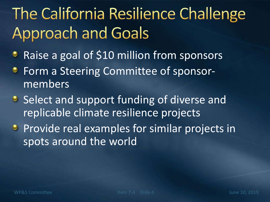# The California Resilience Challenge **Approach and Goals**

- Raise a goal of \$10 million from sponsors ۰
- Form a Steering Committee of sponsor-۰ members
- Select and support funding of diverse and replicable climate resilience projects
- **Provide real examples for similar projects in** spots around the world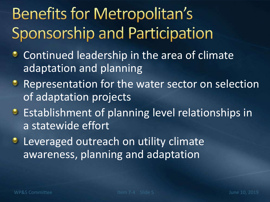# **Benefits for Metropolitan's** Sponsorship and Participation

- Continued leadership in the area of climate ۰ adaptation and planning
- **Representation for the water sector on selection** of adaptation projects
- **Establishment of planning level relationships in** a statewide effort
- **Leveraged outreach on utility climate** awareness, planning and adaptation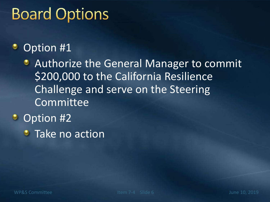## **Board Options**

#### Option #1 ٠

**• Authorize the General Manager to commit** \$200,000 to the California Resilience Challenge and serve on the Steering Committee

- Option #2
	- **Take no action**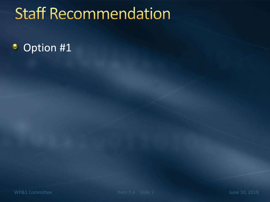### **Staff Recommendation**

#### Option #1۰